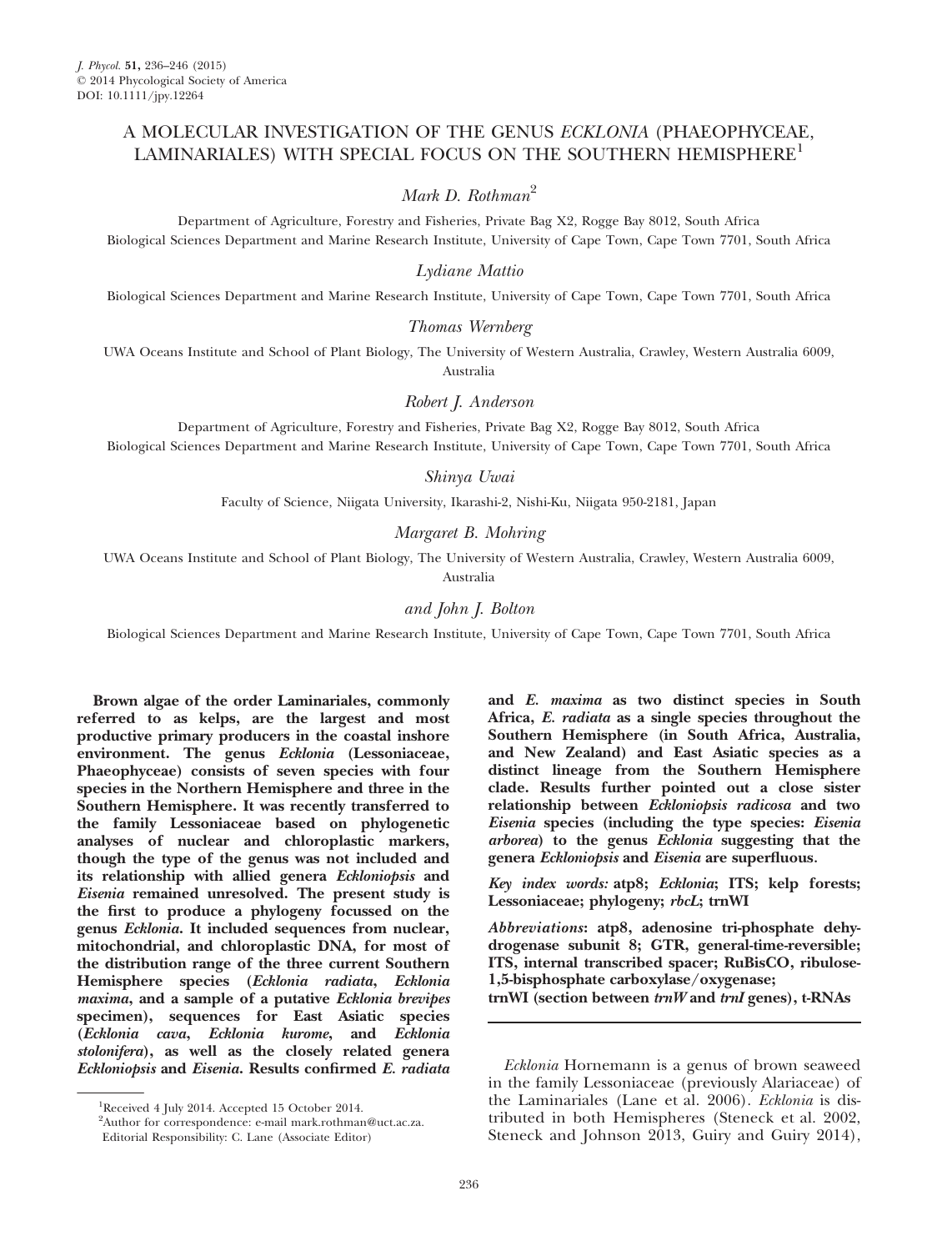# A MOLECULAR INVESTIGATION OF THE GENUS ECKLONIA (PHAEOPHYCEAE, LAMINARIALES) WITH SPECIAL FOCUS ON THE SOUTHERN HEMISPHERE<sup>1</sup>

# Mark D. Rothman<sup>2</sup>

Department of Agriculture, Forestry and Fisheries, Private Bag X2, Rogge Bay 8012, South Africa Biological Sciences Department and Marine Research Institute, University of Cape Town, Cape Town 7701, South Africa

## Lydiane Mattio

Biological Sciences Department and Marine Research Institute, University of Cape Town, Cape Town 7701, South Africa

## Thomas Wernberg

UWA Oceans Institute and School of Plant Biology, The University of Western Australia, Crawley, Western Australia 6009, Australia

### Robert J. Anderson

Department of Agriculture, Forestry and Fisheries, Private Bag X2, Rogge Bay 8012, South Africa Biological Sciences Department and Marine Research Institute, University of Cape Town, Cape Town 7701, South Africa

#### Shinya Uwai

Faculty of Science, Niigata University, Ikarashi-2, Nishi-Ku, Niigata 950-2181, Japan

### Margaret B. Mohring

UWA Oceans Institute and School of Plant Biology, The University of Western Australia, Crawley, Western Australia 6009, Australia

## and John J. Bolton

Biological Sciences Department and Marine Research Institute, University of Cape Town, Cape Town 7701, South Africa

Brown algae of the order Laminariales, commonly referred to as kelps, are the largest and most productive primary producers in the coastal inshore environment. The genus Ecklonia (Lessoniaceae, Phaeophyceae) consists of seven species with four species in the Northern Hemisphere and three in the Southern Hemisphere. It was recently transferred to the family Lessoniaceae based on phylogenetic analyses of nuclear and chloroplastic markers, though the type of the genus was not included and its relationship with allied genera Eckloniopsis and Eisenia remained unresolved. The present study is the first to produce a phylogeny focussed on the genus Ecklonia. It included sequences from nuclear, mitochondrial, and chloroplastic DNA, for most of the distribution range of the three current Southern Hemisphere species (Ecklonia radiata, Ecklonia maxima, and a sample of a putative Ecklonia brevipes specimen), sequences for East Asiatic species (Ecklonia cava, Ecklonia kurome, and Ecklonia stolonifera), as well as the closely related genera Eckloniopsis and Eisenia. Results confirmed E. radiata

and E. maxima as two distinct species in South Africa, E. radiata as a single species throughout the Southern Hemisphere (in South Africa, Australia, and New Zealand) and East Asiatic species as a distinct lineage from the Southern Hemisphere clade. Results further pointed out a close sister relationship between Eckloniopsis radicosa and two Eisenia species (including the type species: Eisenia arborea) to the genus Ecklonia suggesting that the genera Eckloniopsis and Eisenia are superfluous.

Key index words: atp8; Ecklonia; ITS; kelp forests; Lessoniaceae; phylogeny; rbcL; trnWI

Abbreviations: atp8, adenosine tri-phosphate dehydrogenase subunit 8; GTR, general-time-reversible; ITS, internal transcribed spacer; RuBisCO, ribulose-1,5-bisphosphate carboxylase/oxygenase; trnWI (section between  $trnW$  and  $trnI$  genes), t-RNAs

<sup>&</sup>lt;sup>1</sup>Received 4 July 2014. Accepted 15 October 2014.

<sup>&</sup>lt;sup>2</sup>Author for correspondence: e-mail mark.rothman@uct.ac.za.

Editorial Responsibility: C. Lane (Associate Editor)

Ecklonia Hornemann is a genus of brown seaweed in the family Lessoniaceae (previously Alariaceae) of the Laminariales (Lane et al. 2006). Ecklonia is distributed in both Hemispheres (Steneck et al. 2002, Steneck and Johnson 2013, Guiry and Guiry 2014),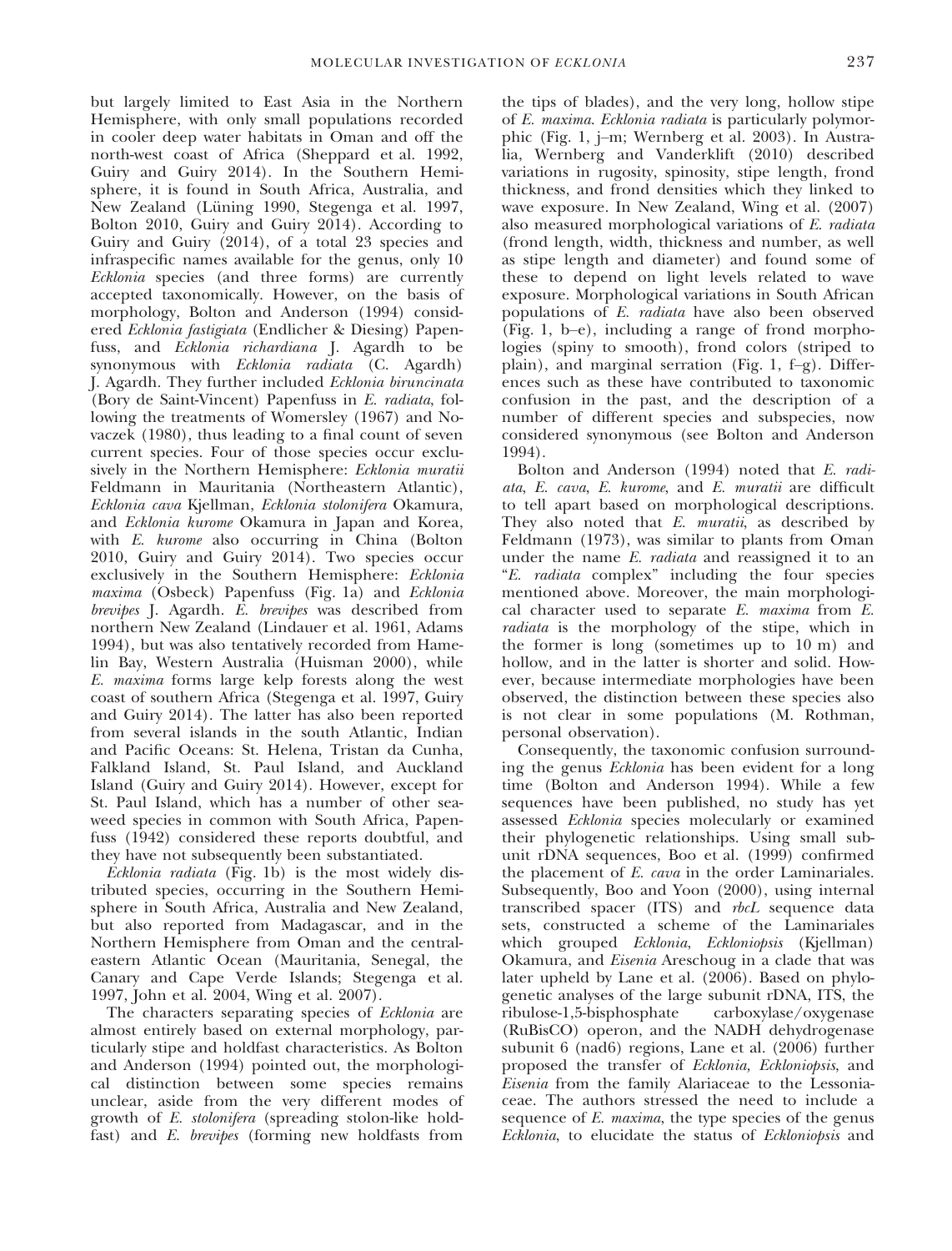but largely limited to East Asia in the Northern Hemisphere, with only small populations recorded in cooler deep water habitats in Oman and off the north-west coast of Africa (Sheppard et al. 1992, Guiry and Guiry 2014). In the Southern Hemisphere, it is found in South Africa, Australia, and New Zealand (Lüning 1990, Stegenga et al. 1997, Bolton 2010, Guiry and Guiry 2014). According to Guiry and Guiry (2014), of a total 23 species and infraspecific names available for the genus, only 10 Ecklonia species (and three forms) are currently accepted taxonomically. However, on the basis of morphology, Bolton and Anderson (1994) considered Ecklonia fastigiata (Endlicher & Diesing) Papenfuss, and Ecklonia richardiana J. Agardh to be synonymous with Ecklonia radiata (C. Agardh) J. Agardh. They further included Ecklonia biruncinata (Bory de Saint-Vincent) Papenfuss in E. radiata, following the treatments of Womersley (1967) and Novaczek (1980), thus leading to a final count of seven current species. Four of those species occur exclusively in the Northern Hemisphere: *Ecklonia muratii* Feldmann in Mauritania (Northeastern Atlantic), Ecklonia cava Kjellman, Ecklonia stolonifera Okamura, and Ecklonia kurome Okamura in Japan and Korea, with E. kurome also occurring in China (Bolton 2010, Guiry and Guiry 2014). Two species occur exclusively in the Southern Hemisphere: Ecklonia maxima (Osbeck) Papenfuss (Fig. 1a) and Ecklonia brevipes J. Agardh. E. brevipes was described from northern New Zealand (Lindauer et al. 1961, Adams 1994), but was also tentatively recorded from Hamelin Bay, Western Australia (Huisman 2000), while E. maxima forms large kelp forests along the west coast of southern Africa (Stegenga et al. 1997, Guiry and Guiry 2014). The latter has also been reported from several islands in the south Atlantic, Indian and Pacific Oceans: St. Helena, Tristan da Cunha, Falkland Island, St. Paul Island, and Auckland Island (Guiry and Guiry 2014). However, except for St. Paul Island, which has a number of other seaweed species in common with South Africa, Papenfuss (1942) considered these reports doubtful, and they have not subsequently been substantiated.

Ecklonia radiata (Fig. 1b) is the most widely distributed species, occurring in the Southern Hemisphere in South Africa, Australia and New Zealand, but also reported from Madagascar, and in the Northern Hemisphere from Oman and the centraleastern Atlantic Ocean (Mauritania, Senegal, the Canary and Cape Verde Islands; Stegenga et al. 1997, John et al. 2004, Wing et al. 2007).

The characters separating species of *Ecklonia* are almost entirely based on external morphology, particularly stipe and holdfast characteristics. As Bolton and Anderson (1994) pointed out, the morphological distinction between some species remains unclear, aside from the very different modes of growth of E. stolonifera (spreading stolon-like holdfast) and E. brevipes (forming new holdfasts from the tips of blades), and the very long, hollow stipe of E. maxima. Ecklonia radiata is particularly polymorphic (Fig. 1, j–m; Wernberg et al. 2003). In Australia, Wernberg and Vanderklift (2010) described variations in rugosity, spinosity, stipe length, frond thickness, and frond densities which they linked to wave exposure. In New Zealand, Wing et al. (2007) also measured morphological variations of E. radiata (frond length, width, thickness and number, as well as stipe length and diameter) and found some of these to depend on light levels related to wave exposure. Morphological variations in South African populations of E. radiata have also been observed (Fig. 1, b–e), including a range of frond morphologies (spiny to smooth), frond colors (striped to plain), and marginal serration (Fig. 1, f–g). Differences such as these have contributed to taxonomic confusion in the past, and the description of a number of different species and subspecies, now considered synonymous (see Bolton and Anderson 1994).

Bolton and Anderson (1994) noted that E. radiata, E. cava, E. kurome, and E. muratii are difficult to tell apart based on morphological descriptions. They also noted that E. muratii, as described by Feldmann (1973), was similar to plants from Oman under the name E. *radiata* and reassigned it to an "E. radiata complex" including the four species mentioned above. Moreover, the main morphological character used to separate E. maxima from E. radiata is the morphology of the stipe, which in the former is long (sometimes up to 10 m) and hollow, and in the latter is shorter and solid. However, because intermediate morphologies have been observed, the distinction between these species also is not clear in some populations (M. Rothman, personal observation).

Consequently, the taxonomic confusion surrounding the genus Ecklonia has been evident for a long time (Bolton and Anderson 1994). While a few sequences have been published, no study has yet assessed Ecklonia species molecularly or examined their phylogenetic relationships. Using small subunit rDNA sequences, Boo et al. (1999) confirmed the placement of E. cava in the order Laminariales. Subsequently, Boo and Yoon (2000), using internal transcribed spacer (ITS) and rbcL sequence data sets, constructed a scheme of the Laminariales which grouped Ecklonia, Eckloniopsis (Kjellman) Okamura, and Eisenia Areschoug in a clade that was later upheld by Lane et al. (2006). Based on phylogenetic analyses of the large subunit rDNA, ITS, the ribulose-1,5-bisphosphate carboxylase/oxygenase (RuBisCO) operon, and the NADH dehydrogenase subunit 6 (nad6) regions, Lane et al. (2006) further proposed the transfer of Ecklonia, Eckloniopsis, and Eisenia from the family Alariaceae to the Lessoniaceae. The authors stressed the need to include a sequence of E. maxima, the type species of the genus Ecklonia, to elucidate the status of Eckloniopsis and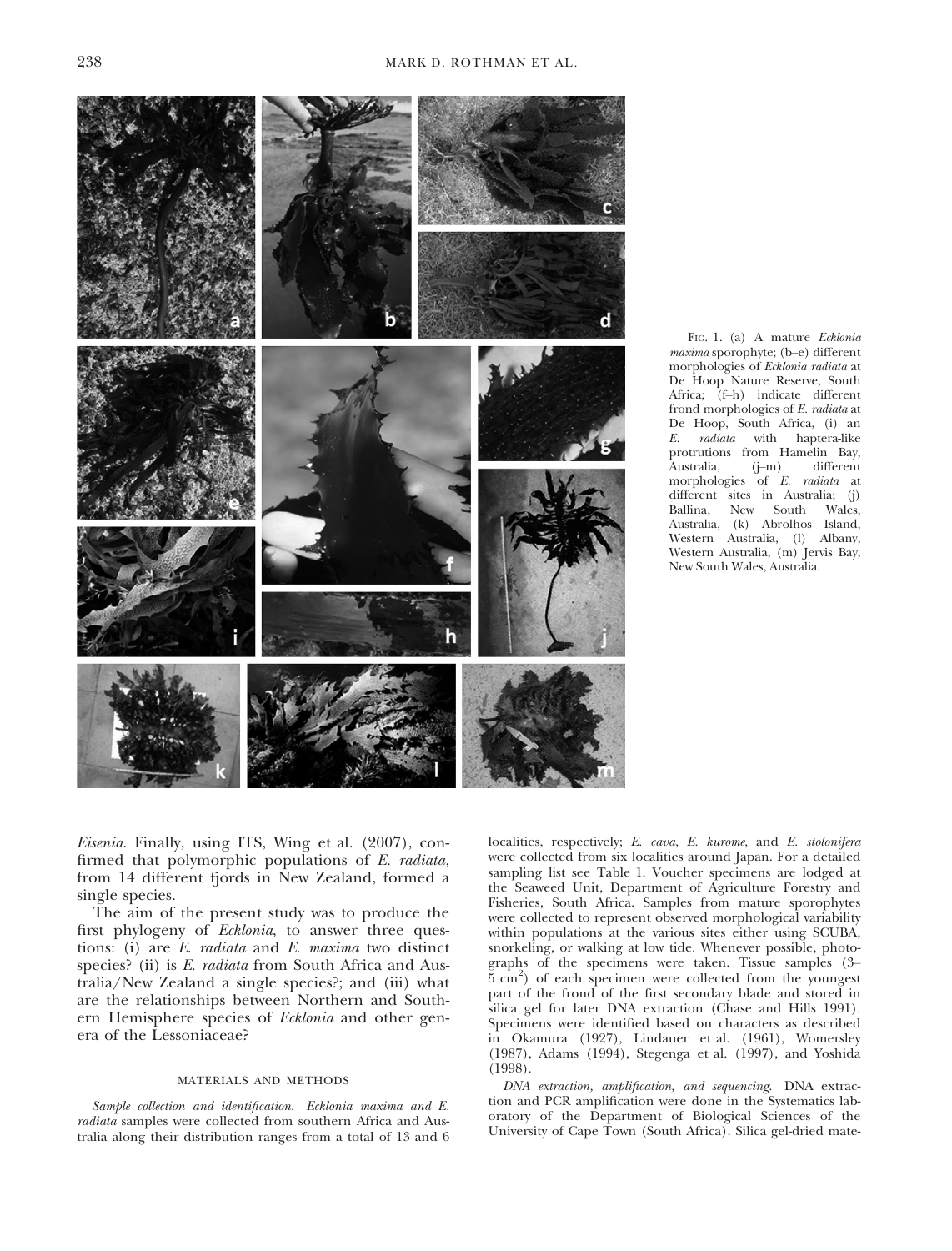

FIG. 1. (a) A mature Ecklonia maxima sporophyte; (b–e) different morphologies of Ecklonia radiata at De Hoop Nature Reserve, South Africa; (f–h) indicate different frond morphologies of E. radiata at De Hoop, South Africa, (i) an E. radiata with haptera-like protrutions from Hamelin Bay,<br>Australia, (j-m) different Australia, morphologies of E. radiata at different sites in Australia; (j)<br>Ballina. New South Wales New South Wales, Australia, (k) Abrolhos Island, Western Australia, (l) Albany, Western Australia, (m) Jervis Bay, New South Wales, Australia.

Eisenia. Finally, using ITS, Wing et al. (2007), confirmed that polymorphic populations of E. radiata, from 14 different fjords in New Zealand, formed a single species.

The aim of the present study was to produce the first phylogeny of Ecklonia, to answer three questions: (i) are E. radiata and E. maxima two distinct species? (ii) is E. radiata from South Africa and Australia/New Zealand a single species?; and (iii) what are the relationships between Northern and Southern Hemisphere species of Ecklonia and other genera of the Lessoniaceae?

#### MATERIALS AND METHODS

Sample collection and identification. Ecklonia maxima and E. radiata samples were collected from southern Africa and Australia along their distribution ranges from a total of 13 and 6 localities, respectively; E. cava, E. kurome, and E. stolonifera were collected from six localities around Japan. For a detailed sampling list see Table 1. Voucher specimens are lodged at the Seaweed Unit, Department of Agriculture Forestry and Fisheries, South Africa. Samples from mature sporophytes were collected to represent observed morphological variability within populations at the various sites either using SCUBA, snorkeling, or walking at low tide. Whenever possible, photographs of the specimens were taken. Tissue samples (3– 5 cm<sup>2</sup> ) of each specimen were collected from the youngest part of the frond of the first secondary blade and stored in silica gel for later DNA extraction (Chase and Hills 1991). Specimens were identified based on characters as described in Okamura (1927), Lindauer et al. (1961), Womersley (1987), Adams (1994), Stegenga et al. (1997), and Yoshida (1998).

DNA extraction, amplification, and sequencing. DNA extraction and PCR amplification were done in the Systematics laboratory of the Department of Biological Sciences of the University of Cape Town (South Africa). Silica gel-dried mate-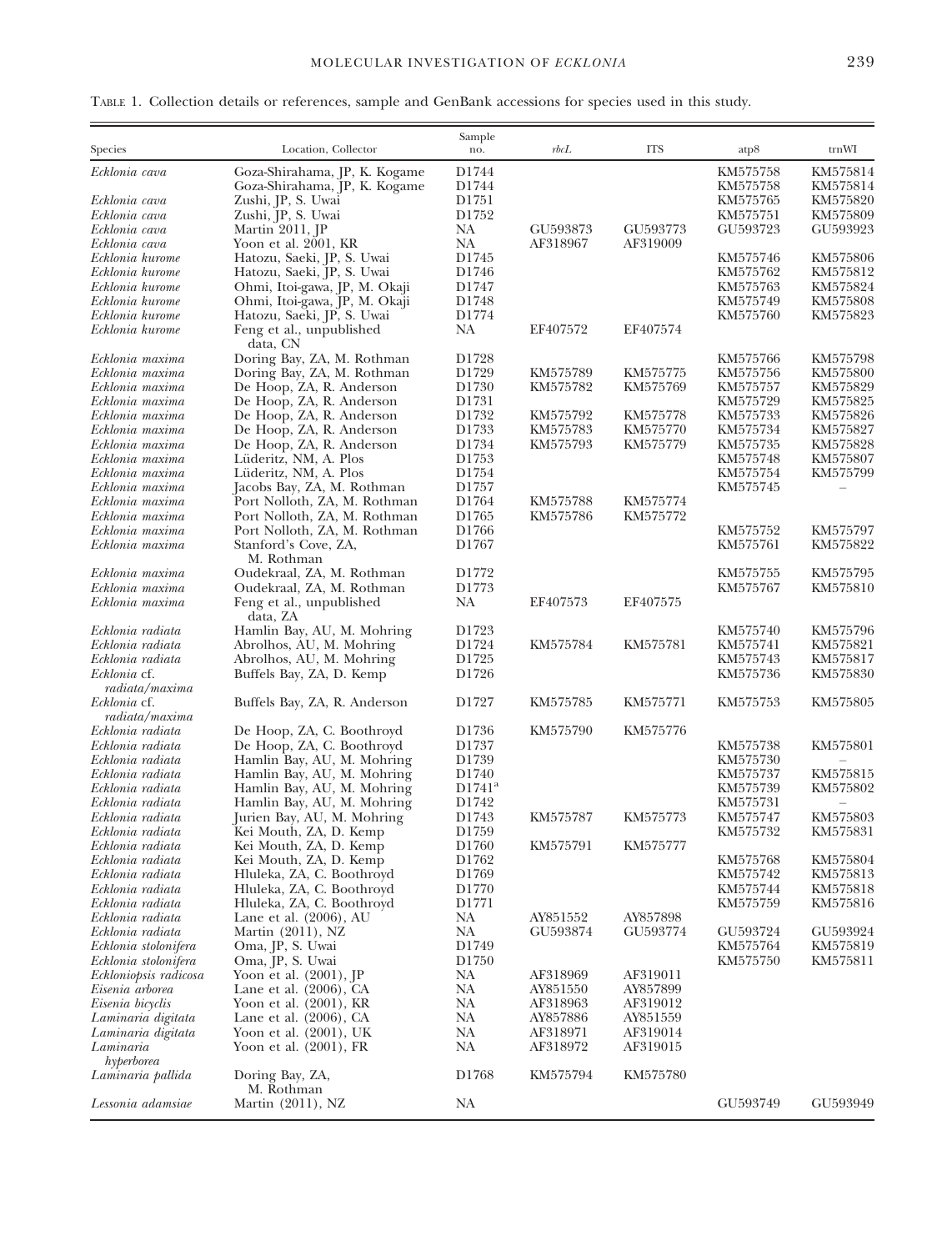|  |  | TABLE 1. Collection details or references, sample and GenBank accessions for species used in this study. |  |  |  |  |
|--|--|----------------------------------------------------------------------------------------------------------|--|--|--|--|
|  |  |                                                                                                          |  |  |  |  |

| Species                              | Location, Collector                                          | Sample<br>no.              | rbcL                 | <b>ITS</b> | atp8                 | trnWI                |
|--------------------------------------|--------------------------------------------------------------|----------------------------|----------------------|------------|----------------------|----------------------|
| Ecklonia cava                        | Goza-Shirahama, JP, K. Kogame                                | D1744                      |                      |            | KM575758             | KM575814             |
|                                      | Goza-Shirahama, JP, K. Kogame                                | D1744                      |                      |            | KM575758             | KM575814             |
| Ecklonia cava                        | Zushi, JP, S. Uwai                                           | D1751                      |                      |            | KM575765             | KM575820             |
| Ecklonia cava                        | Zushi, JP, S. Uwai                                           | D1752                      |                      |            | KM575751             | KM575809             |
| Ecklonia cava                        | Martin 2011, JP                                              | NA                         | GU593873             | GU593773   | GU593723             | GU593923             |
| Ecklonia cava                        | Yoon et al. 2001, KR                                         | NA                         | AF318967             | AF319009   |                      |                      |
| Ecklonia kurome                      | Hatozu, Saeki, JP, S. Uwai                                   | D1745                      |                      |            | KM575746             | KM575806             |
| Ecklonia kurome                      | Hatozu, Saeki, JP, S. Uwai                                   | D1746                      |                      |            | KM575762             | KM575812             |
| Ecklonia kurome                      | Ohmi, Itoi-gawa, JP, M. Okaji                                | D1747                      |                      |            | KM575763             | KM575824             |
| Ecklonia kurome<br>Ecklonia kurome   | Ohmi, Itoi-gawa, JP, M. Okaji<br>Hatozu, Saeki, JP, S. Uwai  | D1748<br>D1774             |                      |            | KM575749<br>KM575760 | KM575808<br>KM575823 |
| Ecklonia kurome                      | Feng et al., unpublished<br>data, CN                         | <b>NA</b>                  | EF407572             | EF407574   |                      |                      |
| Ecklonia maxima                      | Doring Bay, ZA, M. Rothman                                   | D1728                      |                      |            | KM575766             | KM575798             |
| Ecklonia maxima                      | Doring Bay, ZA, M. Rothman                                   | D1729                      | KM575789             | KM575775   | KM575756             | KM575800             |
| Ecklonia maxima                      | De Hoop, ZA, R. Anderson                                     | D1730                      | KM575782             | KM575769   | KM575757             | KM575829             |
| Ecklonia maxima                      | De Hoop, ZA, R. Anderson                                     | D1731                      |                      |            | KM575729             | KM575825             |
| Ecklonia maxima                      | De Hoop, ZA, R. Anderson                                     | D1732                      | KM575792             | KM575778   | KM575733             | KM575826             |
| Ecklonia maxima                      | De Hoop, ZA, R. Anderson                                     | D1733                      | KM575783             | KM575770   | KM575734             | KM575827             |
| Ecklonia maxima                      | De Hoop, ZA, R. Anderson                                     | D1734                      | KM575793             | KM575779   | KM575735             | KM575828             |
| Ecklonia maxima                      | Lüderitz, NM, A. Plos                                        | D1753                      |                      |            | KM575748             | KM575807             |
| Ecklonia maxima                      | Lüderitz, NM, A. Plos                                        | D1754                      |                      |            | KM575754             | KM575799             |
| Ecklonia maxima                      | Jacobs Bay, ZA, M. Rothman                                   | D1757                      |                      | KM575774   | KM575745             |                      |
| Ecklonia maxima<br>Ecklonia maxima   | Port Nolloth, ZA, M. Rothman                                 | D1764<br>D1765             | KM575788<br>KM575786 | KM575772   |                      |                      |
| Ecklonia maxima                      | Port Nolloth, ZA, M. Rothman<br>Port Nolloth, ZA, M. Rothman | D1766                      |                      |            | KM575752             | KM575797             |
| Ecklonia maxima                      | Stanford's Cove, ZA,<br>M. Rothman                           | D1767                      |                      |            | KM575761             | KM575822             |
| Ecklonia maxima                      | Oudekraal, ZA, M. Rothman                                    | D <sub>1772</sub>          |                      |            | KM575755             | KM575795             |
| Ecklonia maxima                      | Oudekraal, ZA, M. Rothman                                    | D1773                      |                      |            | KM575767             | KM575810             |
| Ecklonia maxima                      | Feng et al., unpublished<br>data, ZA                         | NA                         | EF407573             | EF407575   |                      |                      |
| Ecklonia radiata                     | Hamlin Bay, AU, M. Mohring                                   | D <sub>1723</sub>          |                      |            | KM575740             | KM575796             |
| Ecklonia radiata                     | Abrolhos, AU, M. Mohring                                     | D1724                      | KM575784             | KM575781   | KM575741             | KM575821             |
| Ecklonia radiata                     | Abrolhos, AU, M. Mohring                                     | D1725                      |                      |            | KM575743             | KM575817             |
| Ecklonia cf.<br>radiata/maxima       | Buffels Bay, ZA, D. Kemp                                     | D1726                      |                      |            | KM575736             | KM575830             |
| Ecklonia cf.<br>radiata/maxima       | Buffels Bay, ZA, R. Anderson                                 | D1727                      | KM575785             | KM575771   | KM575753             | KM575805             |
| Ecklonia radiata                     | De Hoop, ZA, C. Boothroyd                                    | D1736                      | KM575790             | KM575776   |                      |                      |
| Ecklonia radiata                     | De Hoop, ZA, C. Boothroyd                                    | D1737                      |                      |            | KM575738             | KM575801             |
| Ecklonia radiata                     | Hamlin Bay, AU, M. Mohring                                   | D1739                      |                      |            | KM575730             |                      |
| Ecklonia radiata                     | Hamlin Bay, AU, M. Mohring                                   | D1740                      |                      |            | KM575737             | KM575815             |
| Ecklonia radiata                     | Hamlin Bay, AU, M. Mohring                                   | $D1741^a$                  |                      |            | KM575739             | KM575802             |
| Ecklonia radiata                     | Hamlin Bay, AU, M. Mohring                                   | D1742                      |                      |            | KM575731             |                      |
| Ecklonia radiata                     | Jurien Bay, AU, M. Mohring                                   | D1743                      | KM575787             | KM575773   | KM575747             | KM575803             |
| Ecklonia radiata                     | Kei Mouth, ZA, D. Kemp                                       | D1759                      |                      |            | KM575732             | KM575831             |
| Ecklonia radiata                     | Kei Mouth, ZA, D. Kemp                                       | D1760                      | KM575791             | KM575777   |                      |                      |
| Ecklonia radiata                     | Kei Mouth, ZA, D. Kemp                                       | D1762                      |                      |            | KM575768             | KM575804             |
| Ecklonia radiata                     | Hluleka, ZA, C. Boothroyd                                    | D <sub>1769</sub><br>D1770 |                      |            | KM575742             | KM575813             |
| Ecklonia radiata<br>Ecklonia radiata | Hluleka, ZA, C. Boothroyd                                    | D1771                      |                      |            | KM575744<br>KM575759 | KM575818<br>KM575816 |
| Ecklonia radiata                     | Hluleka, ZA, C. Boothroyd<br>Lane et al. $(2006)$ , AU       | <b>NA</b>                  | AY851552             | AY857898   |                      |                      |
| Ecklonia radiata                     | Martin (2011), NZ                                            | <b>NA</b>                  | GU593874             | GU593774   | GU593724             | GU593924             |
| Ecklonia stolonifera                 | Oma, JP, S. Uwai                                             | D1749                      |                      |            | KM575764             | KM575819             |
| Ecklonia stolonifera                 | Oma, JP, S. Uwai                                             | D <sub>1750</sub>          |                      |            | KM575750             | KM575811             |
| Eckloniopsis radicosa                | Yoon et al. (2001), JP                                       | <b>NA</b>                  | AF318969             | AF319011   |                      |                      |
| Eisenia arborea                      | Lane et al. (2006), CA                                       | <b>NA</b>                  | AY851550             | AY857899   |                      |                      |
| Eisenia bicyclis                     | Yoon et al. (2001), KR                                       | <b>NA</b>                  | AF318963             | AF319012   |                      |                      |
| Laminaria digitata                   | Lane et al. $(2006)$ , CA                                    | NA                         | AY857886             | AY851559   |                      |                      |
| Laminaria digitata                   | Yoon et al. (2001), UK                                       | <b>NA</b>                  | AF318971             | AF319014   |                      |                      |
| Laminaria                            | Yoon et al. (2001), FR                                       | NA                         | AF318972             | AF319015   |                      |                      |
| hyperborea<br>Laminaria pallida      | Doring Bay, ZA,<br>M. Rothman                                | D1768                      | KM575794             | KM575780   |                      |                      |
| Lessonia adamsiae                    | Martin (2011), NZ                                            | NA                         |                      |            | GU593749             | GU593949             |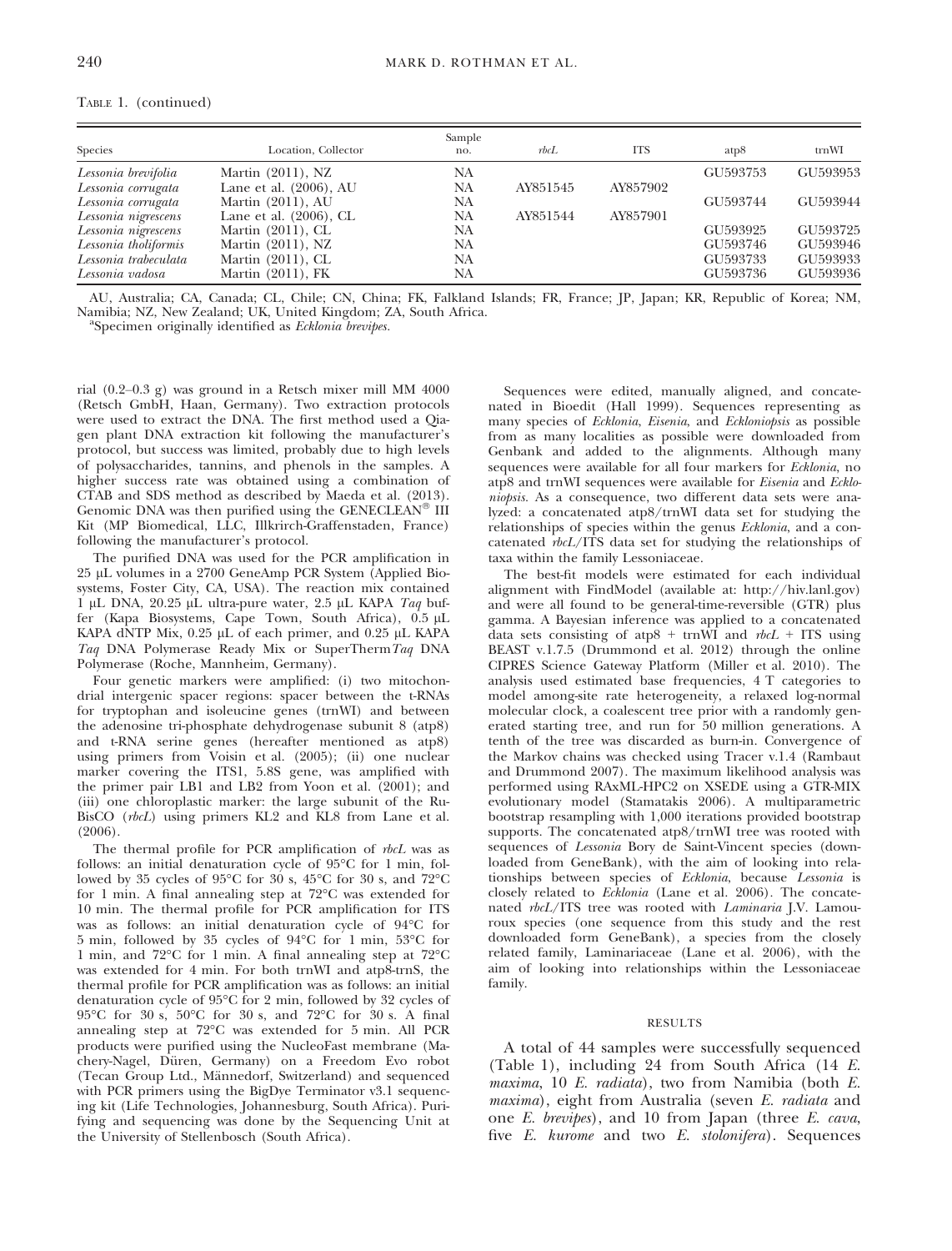| Location, Collector       | Sample<br>no. | rbcL     | <b>ITS</b> | atp8     | trnWI    |
|---------------------------|---------------|----------|------------|----------|----------|
| Martin $(2011)$ , NZ      | NA            |          |            | GU593753 | GU593953 |
| Lane et al. $(2006)$ , AU | NA            | AY851545 | AY857902   |          |          |
| Martin (2011), AU         | NA            |          |            | GU593744 | GU593944 |
| Lane et al. $(2006)$ , CL | NA            | AY851544 | AY857901   |          |          |
| Martin $(2011)$ , CL      | NA            |          |            | GU593925 | GU593725 |
| Martin $(2011)$ , NZ      | NA            |          |            | GU593746 | GU593946 |
| Martin (2011), CL         | NA            |          |            | GU593733 | GU593933 |
| Martin $(2011)$ , FK      | NA            |          |            | GU593736 | GU593936 |
|                           |               |          |            |          |          |

TABLE 1. (continued)

AU, Australia; CA, Canada; CL, Chile; CN, China; FK, Falkland Islands; FR, France; JP, Japan; KR, Republic of Korea; NM, Namibia; NZ, New Zealand; UK, United Kingdom; ZA, South Africa.

<sup>a</sup>Specimen originally identified as Ecklonia brevipes.

rial (0.2–0.3 g) was ground in a Retsch mixer mill MM 4000 (Retsch GmbH, Haan, Germany). Two extraction protocols were used to extract the DNA. The first method used a Qiagen plant DNA extraction kit following the manufacturer's protocol, but success was limited, probably due to high levels of polysaccharides, tannins, and phenols in the samples. A higher success rate was obtained using a combination of CTAB and SDS method as described by Maeda et al. (2013). Genomic DNA was then purified using the GENECLEAN<sup>®</sup> III Kit (MP Biomedical, LLC, Illkrirch-Graffenstaden, France) following the manufacturer's protocol.

The purified DNA was used for the PCR amplification in 25 µL volumes in a 2700 GeneAmp PCR System (Applied Biosystems, Foster City, CA, USA). The reaction mix contained 1 µL DNA,  $20.25$  µL ultra-pure water,  $2.5$  µL KAPA Taq buffer (Kapa Biosystems, Cape Town, South Africa),  $0.5 \mu L$ KAPA dNTP Mix,  $0.25 \mu L$  of each primer, and  $0.25 \mu L$  KAPA Taq DNA Polymerase Ready Mix or SuperThermTaq DNA Polymerase (Roche, Mannheim, Germany).

Four genetic markers were amplified: (i) two mitochondrial intergenic spacer regions: spacer between the t-RNAs for tryptophan and isoleucine genes (trnWI) and between the adenosine tri-phosphate dehydrogenase subunit 8 (atp8) and t-RNA serine genes (hereafter mentioned as atp8) using primers from Voisin et al. (2005); (ii) one nuclear marker covering the ITS1, 5.8S gene, was amplified with the primer pair LB1 and LB2 from Yoon et al. (2001); and (iii) one chloroplastic marker: the large subunit of the Ru-BisCO (rbcL) using primers KL2 and KL8 from Lane et al. (2006).

The thermal profile for PCR amplification of rbcL was as follows: an initial denaturation cycle of 95°C for 1 min, followed by 35 cycles of 95°C for 30 s, 45°C for 30 s, and 72°C for 1 min. A final annealing step at 72°C was extended for 10 min. The thermal profile for PCR amplification for ITS was as follows: an initial denaturation cycle of 94°C for 5 min, followed by 35 cycles of 94°C for 1 min, 53°C for 1 min, and 72°C for 1 min. A final annealing step at 72°C was extended for 4 min. For both trnWI and atp8-trnS, the thermal profile for PCR amplification was as follows: an initial denaturation cycle of 95°C for 2 min, followed by 32 cycles of 95°C for 30 s, 50°C for 30 s, and 72°C for 30 s. A final annealing step at 72°C was extended for 5 min. All PCR products were purified using the NucleoFast membrane (Machery-Nagel, Düren, Germany) on a Freedom Evo robot (Tecan Group Ltd., Männedorf, Switzerland) and sequenced with PCR primers using the BigDye Terminator v3.1 sequencing kit (Life Technologies, Johannesburg, South Africa). Purifying and sequencing was done by the Sequencing Unit at the University of Stellenbosch (South Africa).

Sequences were edited, manually aligned, and concatenated in Bioedit (Hall 1999). Sequences representing as many species of Ecklonia, Eisenia, and Eckloniopsis as possible from as many localities as possible were downloaded from Genbank and added to the alignments. Although many sequences were available for all four markers for Ecklonia, no atp8 and trnWI sequences were available for Eisenia and Eckloniopsis. As a consequence, two different data sets were analyzed: a concatenated atp8/trnWI data set for studying the relationships of species within the genus Ecklonia, and a concatenated  $\overrightarrow{rbcL}/\overrightarrow{ITS}$  data set for studying the relationships of taxa within the family Lessoniaceae.

The best-fit models were estimated for each individual alignment with FindModel (available at: [http://hiv.lanl.gov\)](http://hiv.lanl.gov) and were all found to be general-time-reversible (GTR) plus gamma. A Bayesian inference was applied to a concatenated data sets consisting of atp8 + trnWI and  $rbcL$  + ITS using BEAST v.1.7.5 (Drummond et al. 2012) through the online CIPRES Science Gateway Platform (Miller et al. 2010). The analysis used estimated base frequencies, 4 T categories to model among-site rate heterogeneity, a relaxed log-normal molecular clock, a coalescent tree prior with a randomly generated starting tree, and run for 50 million generations. A tenth of the tree was discarded as burn-in. Convergence of the Markov chains was checked using Tracer v.1.4 (Rambaut and Drummond 2007). The maximum likelihood analysis was performed using RAxML-HPC2 on XSEDE using a GTR-MIX evolutionary model (Stamatakis 2006). A multiparametric bootstrap resampling with 1,000 iterations provided bootstrap supports. The concatenated atp8/trnWI tree was rooted with sequences of Lessonia Bory de Saint-Vincent species (downloaded from GeneBank), with the aim of looking into relationships between species of Ecklonia, because Lessonia is closely related to Ecklonia (Lane et al. 2006). The concatenated rbcL/ITS tree was rooted with Laminaria J.V. Lamouroux species (one sequence from this study and the rest downloaded form GeneBank), a species from the closely related family, Laminariaceae (Lane et al. 2006), with the aim of looking into relationships within the Lessoniaceae family.

#### RESULTS

A total of 44 samples were successfully sequenced (Table 1), including 24 from South Africa (14 E. maxima, 10 E. radiata), two from Namibia (both E. maxima), eight from Australia (seven E. radiata and one E. brevipes), and 10 from Japan (three E. cava, five E. kurome and two E. stolonifera). Sequences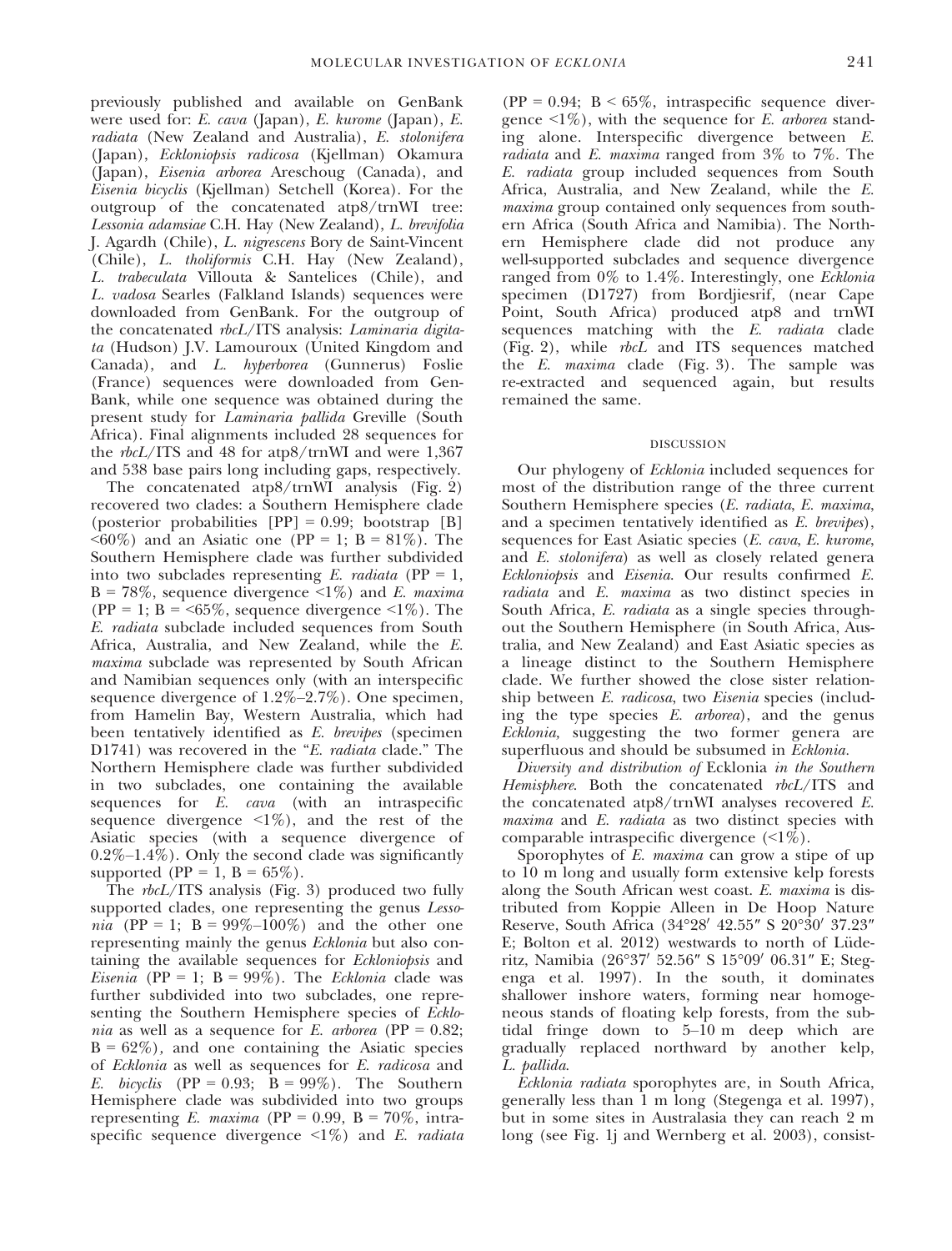previously published and available on GenBank were used for: E. cava (Japan), E. kurome (Japan), E. radiata (New Zealand and Australia), E. stolonifera (Japan), Eckloniopsis radicosa (Kjellman) Okamura (Japan), Eisenia arborea Areschoug (Canada), and Eisenia bicyclis (Kjellman) Setchell (Korea). For the outgroup of the concatenated atp8/trnWI tree: Lessonia adamsiae C.H. Hay (New Zealand), L. brevifolia J. Agardh (Chile), L. nigrescens Bory de Saint-Vincent (Chile), L. tholiformis C.H. Hay (New Zealand), L. trabeculata Villouta & Santelices (Chile), and L. vadosa Searles (Falkland Islands) sequences were downloaded from GenBank. For the outgroup of the concatenated rbcL/ITS analysis: Laminaria digitata (Hudson) J.V. Lamouroux (United Kingdom and Canada), and L. hyperborea (Gunnerus) Foslie (France) sequences were downloaded from Gen-Bank, while one sequence was obtained during the present study for Laminaria pallida Greville (South Africa). Final alignments included 28 sequences for the rbcL/ITS and 48 for atp8/trnWI and were 1,367 and 538 base pairs long including gaps, respectively.

The concatenated atp8/trnWI analysis (Fig. 2) recovered two clades: a Southern Hemisphere clade (posterior probabilities  $[PP] = 0.99$ ; bootstrap  $[B]$  $\langle 60\% \rangle$  and an Asiatic one (PP = 1; B = 81%). The Southern Hemisphere clade was further subdivided into two subclades representing  $E$ . *radiata* (PP = 1,  $B = 78\%$ , sequence divergence <1%) and E. maxima (PP = 1; B = <65%, sequence divergence <1%). The E. radiata subclade included sequences from South Africa, Australia, and New Zealand, while the E. maxima subclade was represented by South African and Namibian sequences only (with an interspecific sequence divergence of 1.2%–2.7%). One specimen, from Hamelin Bay, Western Australia, which had been tentatively identified as E. brevipes (specimen D1741) was recovered in the "E. radiata clade." The Northern Hemisphere clade was further subdivided in two subclades, one containing the available sequences for E. *cava* (with an intraspecific sequence divergence  $\langle 1\% \rangle$ , and the rest of the Asiatic species (with a sequence divergence of  $0.2\%$ –1.4%). Only the second clade was significantly supported (PP = 1, B =  $65\%$ ).

The rbcL/ITS analysis (Fig. 3) produced two fully supported clades, one representing the genus Lesso*nia* (PP = 1; B =  $99\% - 100\%$ ) and the other one representing mainly the genus Ecklonia but also containing the available sequences for Eckloniopsis and Eisenia (PP = 1; B = 99%). The Ecklonia clade was further subdivided into two subclades, one representing the Southern Hemisphere species of Ecklo*nia* as well as a sequence for E. *arborea* (PP =  $0.82$ ;  $B = 62\%)$ , and one containing the Asiatic species of Ecklonia as well as sequences for E. radicosa and E. bicyclis (PP = 0.93;  $\overrightarrow{B}$  = 99%). The Southern Hemisphere clade was subdivided into two groups representing E. maxima (PP =  $0.99$ , B =  $70\%$ , intraspecific sequence divergence  $\leq 1\%$  and E. *radiata* 

 $(PP = 0.94; B < 65\%,$  intraspecific sequence divergence  $\leq 1\%$ ), with the sequence for E. *arborea* standing alone. Interspecific divergence between E. radiata and E. maxima ranged from 3% to 7%. The E. radiata group included sequences from South Africa, Australia, and New Zealand, while the E. maxima group contained only sequences from southern Africa (South Africa and Namibia). The Northern Hemisphere clade did not produce any well-supported subclades and sequence divergence ranged from 0% to 1.4%. Interestingly, one Ecklonia specimen (D1727) from Bordjiesrif, (near Cape Point, South Africa) produced atp8 and trnWI sequences matching with the  $E$ . *radiata* clade (Fig. 2), while  $rbc\bar{L}$  and ITS sequences matched the E. maxima clade (Fig. 3). The sample was re-extracted and sequenced again, but results remained the same.

#### DISCUSSION

Our phylogeny of Ecklonia included sequences for most of the distribution range of the three current Southern Hemisphere species (E. radiata, E. maxima, and a specimen tentatively identified as E. brevipes), sequences for East Asiatic species (E. cava, E. kurome, and E. stolonifera) as well as closely related genera Eckloniopsis and Eisenia. Our results confirmed E. radiata and E. maxima as two distinct species in South Africa, E. *radiata* as a single species throughout the Southern Hemisphere (in South Africa, Australia, and New Zealand) and East Asiatic species as a lineage distinct to the Southern Hemisphere clade. We further showed the close sister relationship between E. radicosa, two Eisenia species (including the type species  $E$ . *arborea*), and the genus Ecklonia, suggesting the two former genera are superfluous and should be subsumed in Ecklonia.

Diversity and distribution of Ecklonia in the Southern Hemisphere. Both the concatenated rbcL/ITS and the concatenated atp8/trnWI analyses recovered E. maxima and E. *radiata* as two distinct species with comparable intraspecific divergence (<1%).

Sporophytes of E. maxima can grow a stipe of up to 10 m long and usually form extensive kelp forests along the South African west coast. E. maxima is distributed from Koppie Alleen in De Hoop Nature Reserve, South Africa (34°28′ 42.55″ S 20°30′ 37.23″ E; Bolton et al.  $2012$ ) westwards to north of Lüderitz, Namibia (26°37' 52.56" S 15°09' 06.31" E; Stegenga et al. 1997). In the south, it dominates shallower inshore waters, forming near homogeneous stands of floating kelp forests, from the subtidal fringe down to 5–10 m deep which are gradually replaced northward by another kelp, L. pallida.

Ecklonia radiata sporophytes are, in South Africa, generally less than 1 m long (Stegenga et al. 1997), but in some sites in Australasia they can reach 2 m long (see Fig. 1j and Wernberg et al. 2003), consist-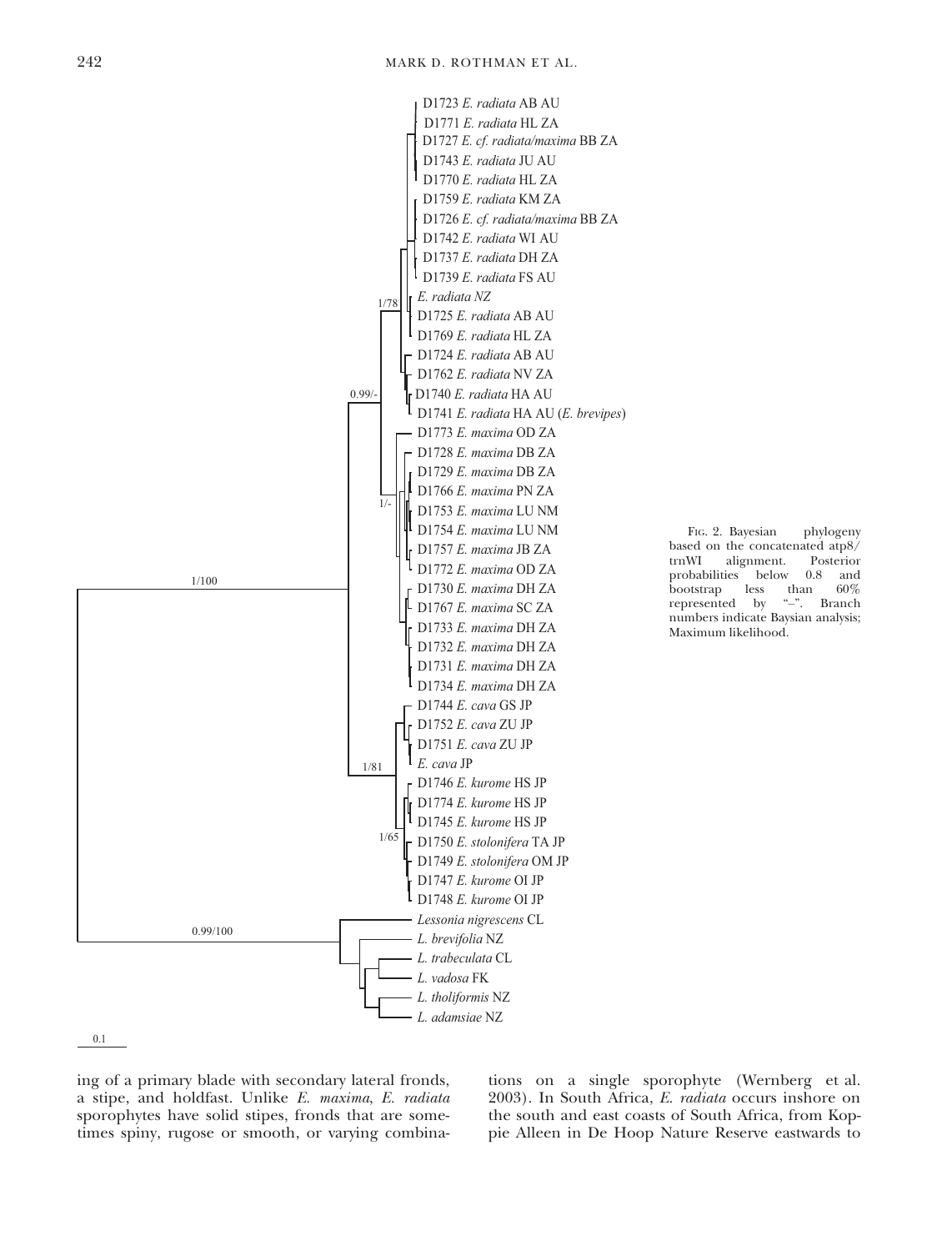

FIG. 2. Bayesian phylogeny based on the concatenated atp8/<br>trnWI alignment. Posterior alignment. Posterior<br>ties below 0.8 and probabilities below 0.8 and<br>bootstrap less than 60% bootstrap less than 60%<br>represented by "-". Branch represented by numbers indicate Baysian analysis; Maximum likelihood.

0.1

ing of a primary blade with secondary lateral fronds, a stipe, and holdfast. Unlike E. maxima, E. radiata sporophytes have solid stipes, fronds that are sometimes spiny, rugose or smooth, or varying combinations on a single sporophyte (Wernberg et al. 2003). In South Africa, E. radiata occurs inshore on the south and east coasts of South Africa, from Koppie Alleen in De Hoop Nature Reserve eastwards to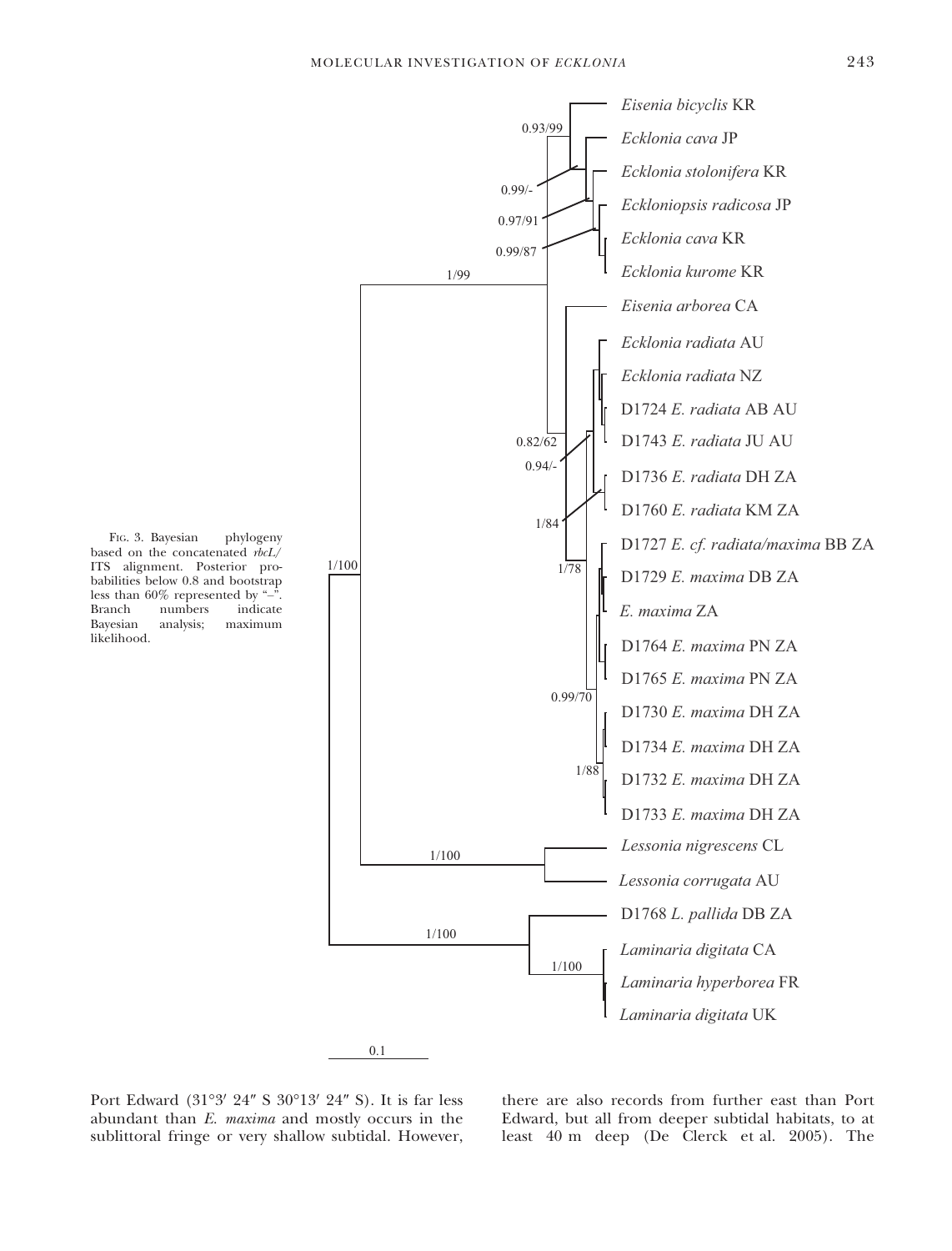

Port Edward  $(31°3' 24'' S 30°13' 24'' S)$ . It is far less abundant than E. maxima and mostly occurs in the sublittoral fringe or very shallow subtidal. However,

there are also records from further east than Port Edward, but all from deeper subtidal habitats, to at least 40 m deep (De Clerck et al. 2005). The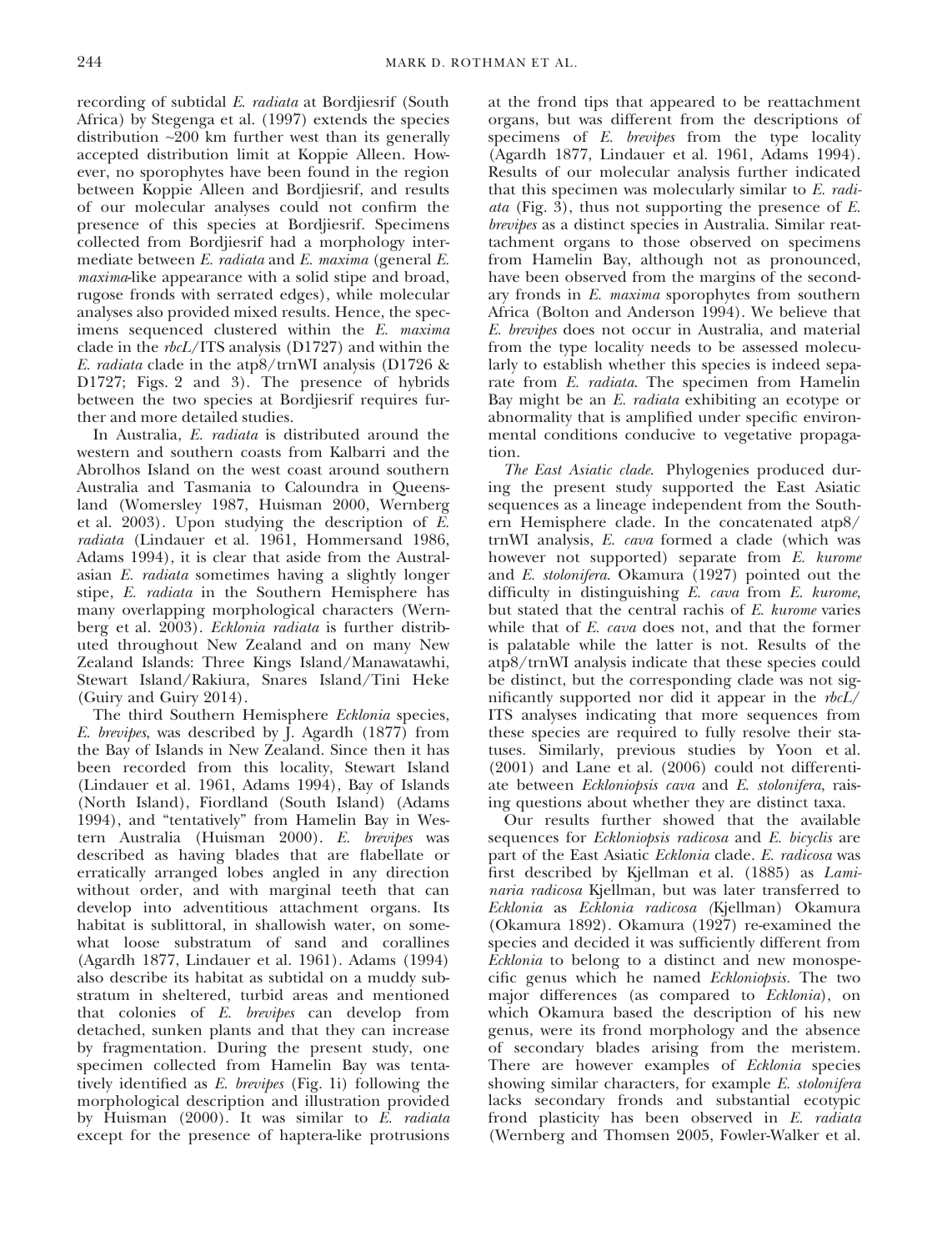recording of subtidal E. radiata at Bordjiesrif (South Africa) by Stegenga et al. (1997) extends the species distribution  $\sim 200$  km further west than its generally accepted distribution limit at Koppie Alleen. However, no sporophytes have been found in the region between Koppie Alleen and Bordjiesrif, and results of our molecular analyses could not confirm the presence of this species at Bordjiesrif. Specimens collected from Bordjiesrif had a morphology intermediate between E. radiata and E. maxima (general E. maxima-like appearance with a solid stipe and broad, rugose fronds with serrated edges), while molecular analyses also provided mixed results. Hence, the specimens sequenced clustered within the E. maxima clade in the rbcL/ITS analysis (D1727) and within the E. *radiata* clade in the atp8/trnWI analysis (D1726  $\&$ D1727; Figs. 2 and 3). The presence of hybrids between the two species at Bordjiesrif requires further and more detailed studies.

In Australia, E. radiata is distributed around the western and southern coasts from Kalbarri and the Abrolhos Island on the west coast around southern Australia and Tasmania to Caloundra in Queensland (Womersley 1987, Huisman 2000, Wernberg et al. 2003). Upon studying the description of  $\overline{E}$ . radiata (Lindauer et al. 1961, Hommersand 1986, Adams 1994), it is clear that aside from the Australasian E. radiata sometimes having a slightly longer stipe, E. radiata in the Southern Hemisphere has many overlapping morphological characters (Wernberg et al. 2003). Ecklonia radiata is further distributed throughout New Zealand and on many New Zealand Islands: Three Kings Island/Manawatawhi, Stewart Island/Rakiura, Snares Island/Tini Heke (Guiry and Guiry 2014).

The third Southern Hemisphere Ecklonia species, E. brevipes, was described by J. Agardh (1877) from the Bay of Islands in New Zealand. Since then it has been recorded from this locality, Stewart Island (Lindauer et al. 1961, Adams 1994), Bay of Islands (North Island), Fiordland (South Island) (Adams 1994), and "tentatively" from Hamelin Bay in Western Australia (Huisman 2000). E. brevipes was described as having blades that are flabellate or erratically arranged lobes angled in any direction without order, and with marginal teeth that can develop into adventitious attachment organs. Its habitat is sublittoral, in shallowish water, on somewhat loose substratum of sand and corallines (Agardh 1877, Lindauer et al. 1961). Adams (1994) also describe its habitat as subtidal on a muddy substratum in sheltered, turbid areas and mentioned that colonies of E. brevipes can develop from detached, sunken plants and that they can increase by fragmentation. During the present study, one specimen collected from Hamelin Bay was tentatively identified as E. brevipes (Fig. 1i) following the morphological description and illustration provided by Huisman (2000). It was similar to E. radiata except for the presence of haptera-like protrusions at the frond tips that appeared to be reattachment organs, but was different from the descriptions of specimens of E. *brevipes* from the type locality (Agardh 1877, Lindauer et al. 1961, Adams 1994). Results of our molecular analysis further indicated that this specimen was molecularly similar to E. radi*ata* (Fig. 3), thus not supporting the presence of  $E$ . brevipes as a distinct species in Australia. Similar reattachment organs to those observed on specimens from Hamelin Bay, although not as pronounced, have been observed from the margins of the secondary fronds in E. maxima sporophytes from southern Africa (Bolton and Anderson 1994). We believe that E. brevipes does not occur in Australia, and material from the type locality needs to be assessed molecularly to establish whether this species is indeed separate from E. radiata. The specimen from Hamelin Bay might be an E. radiata exhibiting an ecotype or abnormality that is amplified under specific environmental conditions conducive to vegetative propagation.

The East Asiatic clade. Phylogenies produced during the present study supported the East Asiatic sequences as a lineage independent from the Southern Hemisphere clade. In the concatenated atp8/ trnWI analysis, E. cava formed a clade (which was however not supported) separate from E. kurome and E. stolonifera. Okamura (1927) pointed out the difficulty in distinguishing E. cava from E. kurome, but stated that the central rachis of E. kurome varies while that of E. *cava* does not, and that the former is palatable while the latter is not. Results of the atp8/trnWI analysis indicate that these species could be distinct, but the corresponding clade was not significantly supported nor did it appear in the  $rbcL/$ ITS analyses indicating that more sequences from these species are required to fully resolve their statuses. Similarly, previous studies by Yoon et al. (2001) and Lane et al. (2006) could not differentiate between Eckloniopsis cava and E. stolonifera, raising questions about whether they are distinct taxa.

Our results further showed that the available sequences for *Eckloniopsis radicosa* and *E. bicyclis* are part of the East Asiatic Ecklonia clade. E. radicosa was first described by Kjellman et al. (1885) as Laminaria radicosa Kjellman, but was later transferred to Ecklonia as Ecklonia radicosa (Kjellman) Okamura (Okamura 1892). Okamura (1927) re-examined the species and decided it was sufficiently different from Ecklonia to belong to a distinct and new monospecific genus which he named Eckloniopsis. The two major differences (as compared to Ecklonia), on which Okamura based the description of his new genus, were its frond morphology and the absence of secondary blades arising from the meristem. There are however examples of Ecklonia species showing similar characters, for example E. stolonifera lacks secondary fronds and substantial ecotypic frond plasticity has been observed in E. radiata (Wernberg and Thomsen 2005, Fowler-Walker et al.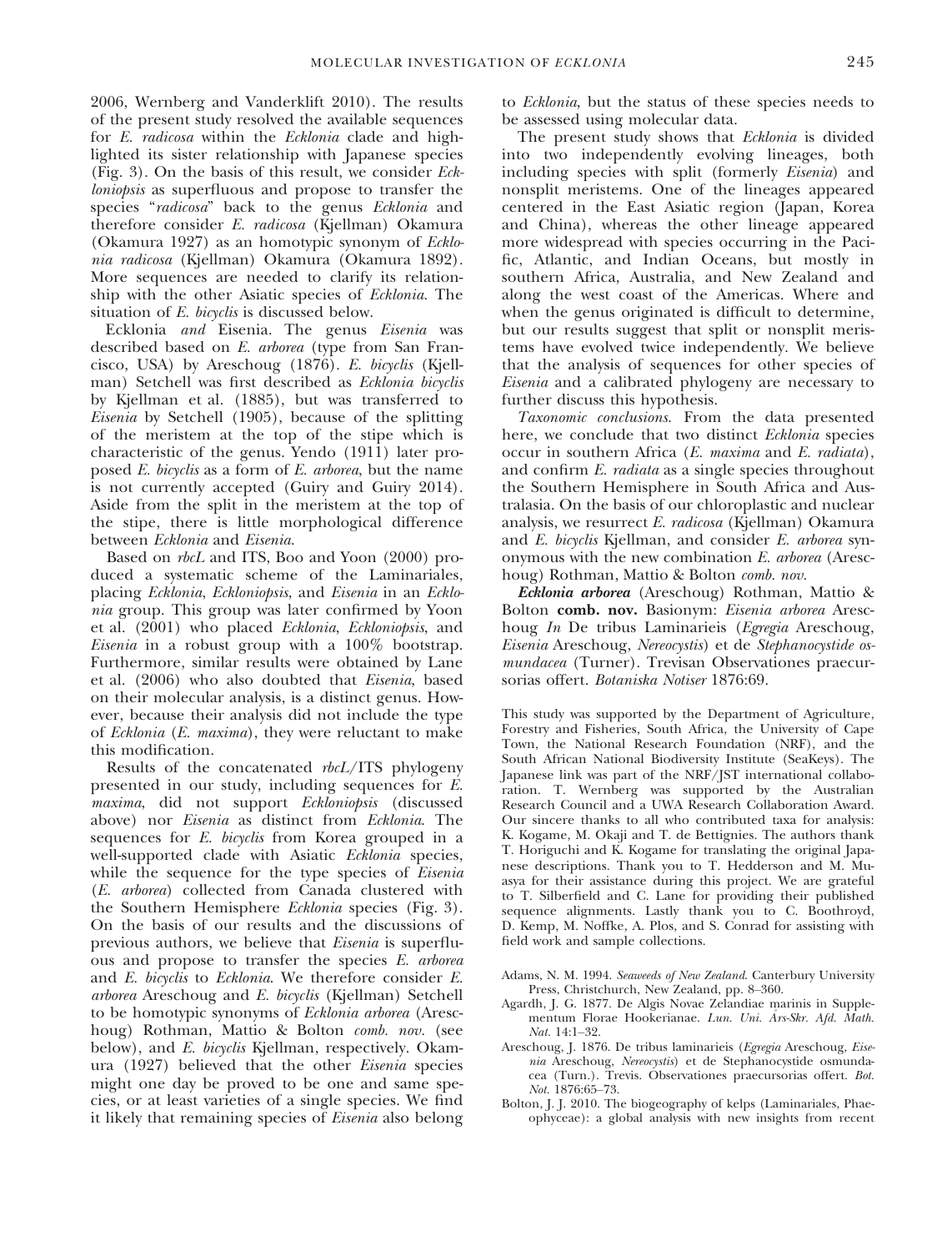2006, Wernberg and Vanderklift 2010). The results of the present study resolved the available sequences for E. radicosa within the Ecklonia clade and highlighted its sister relationship with Japanese species (Fig. 3). On the basis of this result, we consider Eckloniopsis as superfluous and propose to transfer the species "radicosa" back to the genus Ecklonia and therefore consider E. radicosa (Kjellman) Okamura (Okamura 1927) as an homotypic synonym of Ecklonia radicosa (Kjellman) Okamura (Okamura 1892). More sequences are needed to clarify its relationship with the other Asiatic species of Ecklonia. The situation of E. bicyclis is discussed below.

Ecklonia and Eisenia. The genus Eisenia was described based on E. arborea (type from San Francisco, USA) by Areschoug (1876). E. bicyclis (Kjellman) Setchell was first described as Ecklonia bicyclis by Kjellman et al. (1885), but was transferred to Eisenia by Setchell (1905), because of the splitting of the meristem at the top of the stipe which is characteristic of the genus. Yendo (1911) later proposed E. bicyclis as a form of E. arborea, but the name is not currently accepted (Guiry and Guiry 2014). Aside from the split in the meristem at the top of the stipe, there is little morphological difference between Ecklonia and Eisenia.

Based on rbcL and ITS, Boo and Yoon (2000) produced a systematic scheme of the Laminariales, placing Ecklonia, Eckloniopsis, and Eisenia in an Ecklonia group. This group was later confirmed by Yoon et al. (2001) who placed Ecklonia, Eckloniopsis, and Eisenia in a robust group with a 100% bootstrap. Furthermore, similar results were obtained by Lane et al. (2006) who also doubted that Eisenia, based on their molecular analysis, is a distinct genus. However, because their analysis did not include the type of Ecklonia (E. maxima), they were reluctant to make this modification.

Results of the concatenated rbcL/ITS phylogeny presented in our study, including sequences for E. maxima, did not support Eckloniopsis (discussed above) nor Eisenia as distinct from Ecklonia. The sequences for E. bicyclis from Korea grouped in a well-supported clade with Asiatic Ecklonia species, while the sequence for the type species of Eisenia (E. arborea) collected from Canada clustered with the Southern Hemisphere Ecklonia species (Fig. 3). On the basis of our results and the discussions of previous authors, we believe that Eisenia is superfluous and propose to transfer the species E. arborea and E. bicyclis to Ecklonia. We therefore consider E. arborea Areschoug and E. bicyclis (Kjellman) Setchell to be homotypic synonyms of Ecklonia arborea (Areschoug) Rothman, Mattio & Bolton comb. nov. (see below), and E. bicyclis Kjellman, respectively. Okamura (1927) believed that the other Eisenia species might one day be proved to be one and same species, or at least varieties of a single species. We find it likely that remaining species of Eisenia also belong to Ecklonia, but the status of these species needs to be assessed using molecular data.

The present study shows that Ecklonia is divided into two independently evolving lineages, both including species with split (formerly Eisenia) and nonsplit meristems. One of the lineages appeared centered in the East Asiatic region (Japan, Korea and China), whereas the other lineage appeared more widespread with species occurring in the Pacific, Atlantic, and Indian Oceans, but mostly in southern Africa, Australia, and New Zealand and along the west coast of the Americas. Where and when the genus originated is difficult to determine, but our results suggest that split or nonsplit meristems have evolved twice independently. We believe that the analysis of sequences for other species of Eisenia and a calibrated phylogeny are necessary to further discuss this hypothesis.

Taxonomic conclusions. From the data presented here, we conclude that two distinct Ecklonia species occur in southern Africa (E. maxima and E. radiata), and confirm E. radiata as a single species throughout the Southern Hemisphere in South Africa and Australasia. On the basis of our chloroplastic and nuclear analysis, we resurrect E. radicosa (Kjellman) Okamura and E. bicyclis Kjellman, and consider E. arborea synonymous with the new combination E. arborea (Areschoug) Rothman, Mattio & Bolton comb. nov.

Ecklonia arborea (Areschoug) Rothman, Mattio & Bolton comb. nov. Basionym: Eisenia arborea Areschoug In De tribus Laminarieis (Egregia Areschoug, Eisenia Areschoug, Nereocystis) et de Stephanocystide osmundacea (Turner). Trevisan Observationes praecursorias offert. Botaniska Notiser 1876:69.

This study was supported by the Department of Agriculture, Forestry and Fisheries, South Africa, the University of Cape Town, the National Research Foundation (NRF), and the South African National Biodiversity Institute (SeaKeys). The Japanese link was part of the NRF/JST international collaboration. T. Wernberg was supported by the Australian Research Council and a UWA Research Collaboration Award. Our sincere thanks to all who contributed taxa for analysis: K. Kogame, M. Okaji and T. de Bettignies. The authors thank T. Horiguchi and K. Kogame for translating the original Japanese descriptions. Thank you to T. Hedderson and M. Muasya for their assistance during this project. We are grateful to T. Silberfield and C. Lane for providing their published sequence alignments. Lastly thank you to C. Boothroyd, D. Kemp, M. Noffke, A. Plos, and S. Conrad for assisting with field work and sample collections.

- Adams, N. M. 1994. Seaweeds of New Zealand. Canterbury University Press, Christchurch, New Zealand, pp. 8–360.
- Agardh, J. G. 1877. De Algis Novae Zelandiae marinis in Supplementum Florae Hookerianae. Lun. Uni. Ars-Skr. Afd. Math. Nat. 14:1–32.
- Areschoug, J. 1876. De tribus laminarieis (Egregia Areschoug, Eisenia Areschoug, Nereocystis) et de Stephanocystide osmundacea (Turn.). Trevis. Observationes praecursorias offert. Bot. Not. 1876:65–73.
- Bolton, J. J. 2010. The biogeography of kelps (Laminariales, Phaeophyceae): a global analysis with new insights from recent